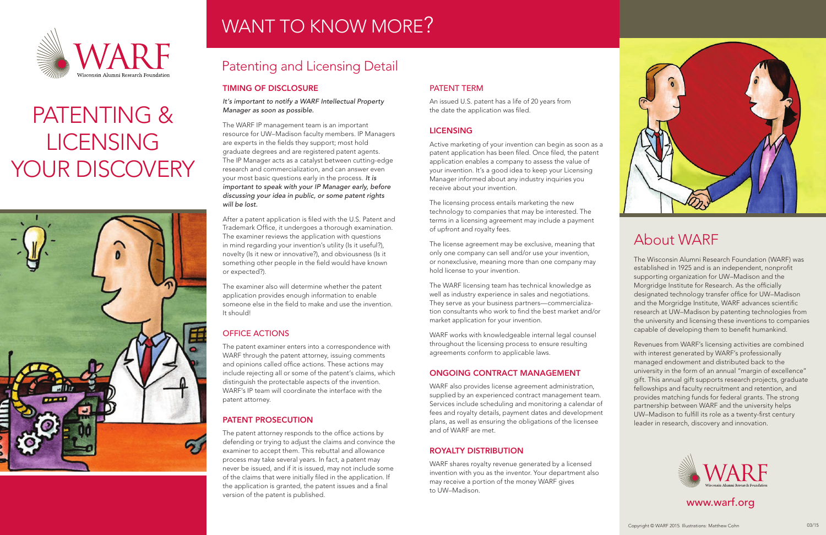### TIMING OF DISCLOSURE

*It's important to notify a WARF Intellectual Property Manager as soon as possible.*

The WARF IP management team is an important resource for UW–Madison faculty members. IP Managers are experts in the fields they support; most hold graduate degrees and are registered patent agents. The IP Manager acts as a catalyst between cutting-edge research and commercialization, and can answer even your most basic questions early in the process. *It is important to speak with your IP Manager early, before discussing your idea in public, or some patent rights will be lost.*

After a patent application is filed with the U.S. Patent and Trademark Office, it undergoes a thorough examination. The examiner reviews the application with questions in mind regarding your invention's utility (Is it useful?), novelty (Is it new or innovative?), and obviousness (Is it something other people in the field would have known or expected?).

The examiner also will determine whether the patent application provides enough information to enable someone else in the field to make and use the invention. It should!

### OFFICE ACTIONS

The patent examiner enters into a correspondence with WARF through the patent attorney, issuing comments and opinions called office actions. These actions may include rejecting all or some of the patent's claims, which distinguish the protectable aspects of the invention. WARF's IP team will coordinate the interface with the patent attorney.

### PATENT PROSECUTION

The patent attorney responds to the office actions by defending or trying to adjust the claims and convince the examiner to accept them. This rebuttal and allowance process may take several years. In fact, a patent may never be issued, and if it is issued, may not include some of the claims that were initially filed in the application. If the application is granted, the patent issues and a final version of the patent is published.



# PATENTING & **LICENSING** YOUR DISCOVERY



## WANT TO KNOW MORE?

### PATENT TERM

An issued U.S. patent has a life of 20 years from the date the application was filed.

### **LICENSING**

Active marketing of your invention can begin as soon as a patent application has been filed. Once filed, the patent application enables a company to assess the value of your invention. It's a good idea to keep your Licensing Manager informed about any industry inquiries you receive about your invention.

The licensing process entails marketing the new technology to companies that may be interested. The terms in a licensing agreement may include a payment of upfront and royalty fees.

The license agreement may be exclusive, meaning that only one company can sell and/or use your invention, or nonexclusive, meaning more than one company may hold license to your invention.

The WARF licensing team has technical knowledge as well as industry experience in sales and negotiations. They serve as your business partners—commercialization consultants who work to find the best market and/or market application for your invention.

WARF works with knowledgeable internal legal counsel throughout the licensing process to ensure resulting agreements conform to applicable laws.

### ONGOING CONTRACT MANAGEMENT

WARF also provides license agreement administration, supplied by an experienced contract management team. Services include scheduling and monitoring a calendar of fees and royalty details, payment dates and development plans, as well as ensuring the obligations of the licensee and of WARF are met.

### ROYALTY DISTRIBUTION

WARF shares royalty revenue generated by a licensed invention with you as the inventor. Your department also may receive a portion of the money WARF gives to UW–Madison.



### Patenting and Licensing Detail



### About WARF

The Wisconsin Alumni Research Foundation (WARF) was established in 1925 and is an independent, nonprofit supporting organization for UW–Madison and the Morgridge Institute for Research. As the officially designated technology transfer office for UW–Madison and the Morgridge Institute, WARF advances scientific research at UW–Madison by patenting technologies from the university and licensing these inventions to companies capable of developing them to benefit humankind.

Revenues from WARF's licensing activities are combined with interest generated by WARF's professionally managed endowment and distributed back to the university in the form of an annual "margin of excellence" gift. This annual gift supports research projects, graduate fellowships and faculty recruitment and retention, and provides matching funds for federal grants. The strong partnership between WARF and the university helps UW–Madison to fulfill its role as a twenty-first century leader in research, discovery and innovation.